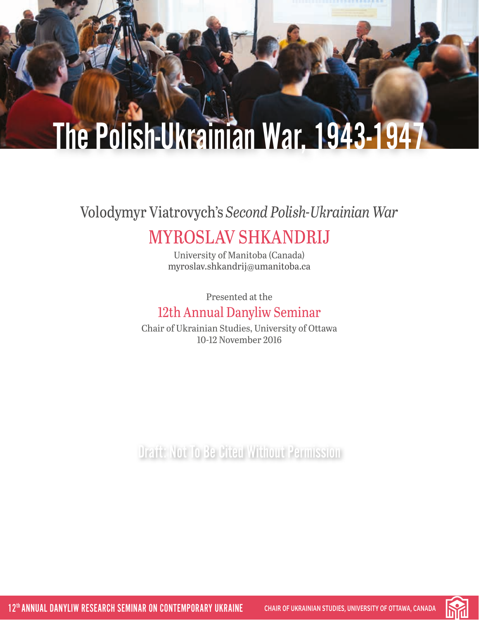## Volodymyr Viatrovych's *Second Polish-Ukrainian War*

## MYROSLAV SHKANDRIJ

University of Manitoba (Canada) [myroslav.shkandrij@umanitoba.ca](mailto:myroslav.shkandrij%40umanitoba.ca?subject=)

Presented at the 12th Annual Danyliw Seminar

Chair of Ukrainian Studies, University of Ottawa 10-12 November 2016

**Draft: Not To Be Cited Without Permission** 

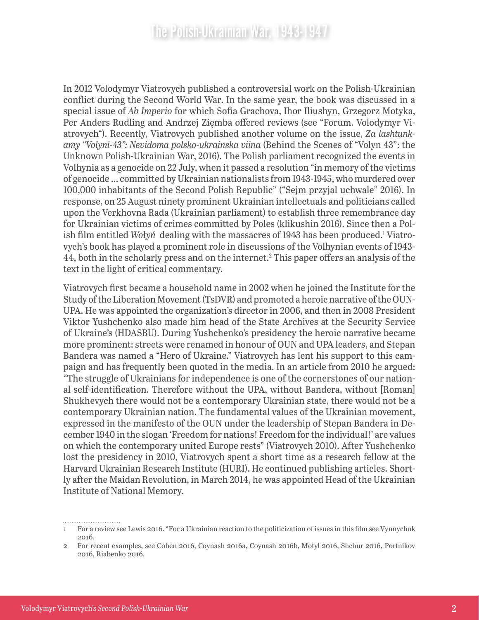In 2012 Volodymyr Viatrovych published a controversial work on the Polish-Ukrainian conflict during the Second World War. In the same year, the book was discussed in a special issue of *Ab Imperio* for which Sofia Grachova, Ihor Iliushyn, Grzegorz Motyka, Per Anders Rudling and Andrzej Zięmba offered reviews (see "Forum. Volodymyr Viatrovych"). Recently, Viatrovych published another volume on the issue, *Za lashtunkamy "Volyni-43": Nevidoma polsko-ukrainska viina* (Behind the Scenes of "Volyn 43": the Unknown Polish-Ukrainian War, 2016). The Polish parliament recognized the events in Volhynia as a genocide on 22 July, when it passed a resolution "in memory of the victims of genocide … committed by Ukrainian nationalists from 1943-1945, who murdered over 100,000 inhabitants of the Second Polish Republic" ("Sejm przyjal uchwale" 2016). In response, on 25 August ninety prominent Ukrainian intellectuals and politicians called upon the Verkhovna Rada (Ukrainian parliament) to establish three remembrance day for Ukrainian victims of crimes committed by Poles (klikushin 2016). Since then a Polish film entitled Wołyń dealing with the massacres of 1943 has been produced.<sup>1</sup> Viatrovych's book has played a prominent role in discussions of the Volhynian events of 1943- 44, both in the scholarly press and on the internet.2 This paper offers an analysis of the text in the light of critical commentary.

Viatrovych first became a household name in 2002 when he joined the Institute for the Study of the Liberation Movement (TsDVR) and promoted a heroic narrative of the OUN-UPA. He was appointed the organization's director in 2006, and then in 2008 President Viktor Yushchenko also made him head of the State Archives at the Security Service of Ukraine's (HDASBU). During Yushchenko's presidency the heroic narrative became more prominent: streets were renamed in honour of OUN and UPA leaders, and Stepan Bandera was named a "Hero of Ukraine." Viatrovych has lent his support to this campaign and has frequently been quoted in the media. In an article from 2010 he argued: "The struggle of Ukrainians for independence is one of the cornerstones of our national self-identification. Therefore without the UPA, without Bandera, without [Roman] Shukhevych there would not be a contemporary Ukrainian state, there would not be a contemporary Ukrainian nation. The fundamental values of the Ukrainian movement, expressed in the manifesto of the OUN under the leadership of Stepan Bandera in December 1940 in the slogan 'Freedom for nations! Freedom for the individual!' are values on which the contemporary united Europe rests" (Viatrovych 2010). After Yushchenko lost the presidency in 2010, Viatrovych spent a short time as a research fellow at the Harvard Ukrainian Research Institute (HURI). He continued publishing articles. Shortly after the Maidan Revolution, in March 2014, he was appointed Head of the Ukrainian Institute of National Memory.

<sup>1</sup> For a review see Lewis 2016. "For a Ukrainian reaction to the politicization of issues in this film see Vynnychuk 2016.

<sup>2</sup> For recent examples, see Cohen 2016, Coynash 2016a, Coynash 2016b, Motyl 2016, Shchur 2016, Portnikov 2016, Riabenko 2016.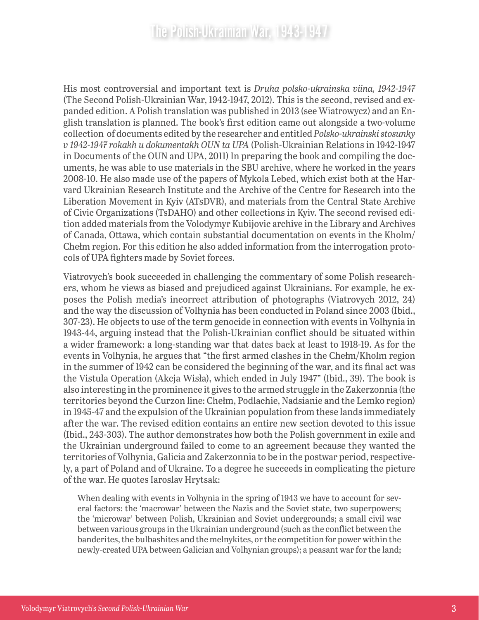His most controversial and important text is *Druha polsko-ukrainska viina, 1942-1947* (The Second Polish-Ukrainian War, 1942-1947, 2012). This is the second, revised and expanded edition. A Polish translation was published in 2013 (see Wiatrowycz) and an English translation is planned. The book's first edition came out alongside a two-volume collection of documents edited by the researcher and entitled *Polsko-ukrainski stosunky v 1942-1947 rokakh u dokumentakh OUN ta UPA* (Polish-Ukrainian Relations in 1942-1947 in Documents of the OUN and UPA, 2011) In preparing the book and compiling the documents, he was able to use materials in the SBU archive, where he worked in the years 2008-10. He also made use of the papers of Mykola Lebed, which exist both at the Harvard Ukrainian Research Institute and the Archive of the Centre for Research into the Liberation Movement in Kyiv (ATsDVR), and materials from the Central State Archive of Civic Organizations (TsDAHO) and other collections in Kyiv. The second revised edition added materials from the Volodymyr Kubijovic archive in the Library and Archives of Canada, Ottawa, which contain substantial documentation on events in the Kholm/ Chełm region. For this edition he also added information from the interrogation protocols of UPA fighters made by Soviet forces.

Viatrovych's book succeeded in challenging the commentary of some Polish researchers, whom he views as biased and prejudiced against Ukrainians. For example, he exposes the Polish media's incorrect attribution of photographs (Viatrovych 2012, 24) and the way the discussion of Volhynia has been conducted in Poland since 2003 (Ibid., 307-23). He objects to use of the term genocide in connection with events in Volhynia in 1943-44, arguing instead that the Polish-Ukrainian conflict should be situated within a wider framework: a long-standing war that dates back at least to 1918-19. As for the events in Volhynia, he argues that "the first armed clashes in the Chełm/Kholm region in the summer of 1942 can be considered the beginning of the war, and its final act was the Vistula Operation (Akcja Wisła), which ended in July 1947" (Ibid., 39). The book is also interesting in the prominence it gives to the armed struggle in the Zakerzonnia (the territories beyond the Curzon line: Chełm, Podlachie, Nadsianie and the Lemko region) in 1945-47 and the expulsion of the Ukrainian population from these lands immediately after the war. The revised edition contains an entire new section devoted to this issue (Ibid., 243-303). The author demonstrates how both the Polish government in exile and the Ukrainian underground failed to come to an agreement because they wanted the territories of Volhynia, Galicia and Zakerzonnia to be in the postwar period, respectively, a part of Poland and of Ukraine. To a degree he succeeds in complicating the picture of the war. He quotes Iaroslav Hrytsak:

When dealing with events in Volhynia in the spring of 1943 we have to account for several factors: the 'macrowar' between the Nazis and the Soviet state, two superpowers; the 'microwar' between Polish, Ukrainian and Soviet undergrounds; a small civil war between various groups in the Ukrainian underground (such as the conflict between the banderites, the bulbashites and the melnykites, or the competition for power within the newly-created UPA between Galician and Volhynian groups); a peasant war for the land;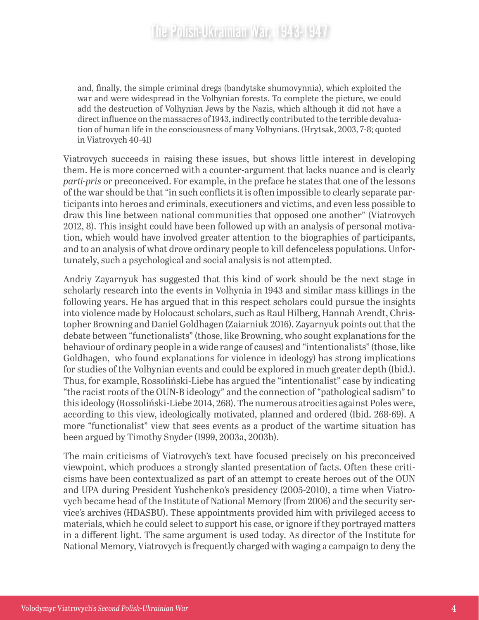and, finally, the simple criminal dregs (bandytske shumovynnia), which exploited the war and were widespread in the Volhynian forests. To complete the picture, we could add the destruction of Volhynian Jews by the Nazis, which although it did not have a direct influence on the massacres of 1943, indirectly contributed to the terrible devaluation of human life in the consciousness of many Volhynians. (Hrytsak, 2003, 7-8; quoted in Viatrovych 40-41)

Viatrovych succeeds in raising these issues, but shows little interest in developing them. He is more concerned with a counter-argument that lacks nuance and is clearly *parti-pris* or preconceived. For example, in the preface he states that one of the lessons of the war should be that "in such conflicts it is often impossible to clearly separate participants into heroes and criminals, executioners and victims, and even less possible to draw this line between national communities that opposed one another" (Viatrovych 2012, 8). This insight could have been followed up with an analysis of personal motivation, which would have involved greater attention to the biographies of participants, and to an analysis of what drove ordinary people to kill defenceless populations. Unfortunately, such a psychological and social analysis is not attempted.

Andriy Zayarnyuk has suggested that this kind of work should be the next stage in scholarly research into the events in Volhynia in 1943 and similar mass killings in the following years. He has argued that in this respect scholars could pursue the insights into violence made by Holocaust scholars, such as Raul Hilberg, Hannah Arendt, Christopher Browning and Daniel Goldhagen (Zaiarniuk 2016). Zayarnyuk points out that the debate between "functionalists" (those, like Browning, who sought explanations for the behaviour of ordinary people in a wide range of causes) and "intentionalists" (those, like Goldhagen, who found explanations for violence in ideology) has strong implications for studies of the Volhynian events and could be explored in much greater depth (Ibid.). Thus, for example, Rossoliński-Liebe has argued the "intentionalist" case by indicating "the racist roots of the OUN-B ideology" and the connection of "pathological sadism" to this ideology (Rossoliński-Liebe 2014, 268). The numerous atrocities against Poles were, according to this view, ideologically motivated, planned and ordered (Ibid. 268-69). A more "functionalist" view that sees events as a product of the wartime situation has been argued by Timothy Snyder (1999, 2003a, 2003b).

The main criticisms of Viatrovych's text have focused precisely on his preconceived viewpoint, which produces a strongly slanted presentation of facts. Often these criticisms have been contextualized as part of an attempt to create heroes out of the OUN and UPA during President Yushchenko's presidency (2005-2010), a time when Viatrovych became head of the Institute of National Memory (from 2006) and the security service's archives (HDASBU). These appointments provided him with privileged access to materials, which he could select to support his case, or ignore if they portrayed matters in a different light. The same argument is used today. As director of the Institute for National Memory, Viatrovych is frequently charged with waging a campaign to deny the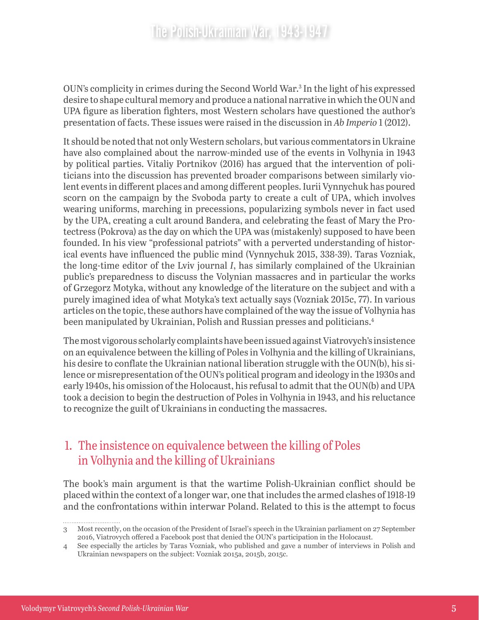OUN's complicity in crimes during the Second World War.3 In the light of his expressed desire to shape cultural memory and produce a national narrative in which the OUN and UPA figure as liberation fighters, most Western scholars have questioned the author's presentation of facts. These issues were raised in the discussion in *Ab Imperio* 1 (2012).

It should be noted that not only Western scholars, but various commentators in Ukraine have also complained about the narrow-minded use of the events in Volhynia in 1943 by political parties. Vitaliy Portnikov (2016) has argued that the intervention of politicians into the discussion has prevented broader comparisons between similarly violent events in different places and among different peoples. Iurii Vynnychuk has poured scorn on the campaign by the Svoboda party to create a cult of UPA, which involves wearing uniforms, marching in precessions, popularizing symbols never in fact used by the UPA, creating a cult around Bandera, and celebrating the feast of Mary the Protectress (Pokrova) as the day on which the UPA was (mistakenly) supposed to have been founded. In his view "professional patriots" with a perverted understanding of historical events have influenced the public mind (Vynnychuk 2015, 338-39). Taras Vozniak, the long-time editor of the Lviv journal *I*, has similarly complained of the Ukrainian public's preparedness to discuss the Volynian massacres and in particular the works of Grzegorz Motyka, without any knowledge of the literature on the subject and with a purely imagined idea of what Motyka's text actually says (Vozniak 2015c, 77). In various articles on the topic, these authors have complained of the way the issue of Volhynia has been manipulated by Ukrainian, Polish and Russian presses and politicians.<sup>4</sup>

The most vigorous scholarly complaints have been issued against Viatrovych's insistence on an equivalence between the killing of Poles in Volhynia and the killing of Ukrainians, his desire to conflate the Ukrainian national liberation struggle with the OUN(b), his silence or misrepresentation of the OUN's political program and ideology in the 1930s and early 1940s, his omission of the Holocaust, his refusal to admit that the OUN(b) and UPA took a decision to begin the destruction of Poles in Volhynia in 1943, and his reluctance to recognize the guilt of Ukrainians in conducting the massacres.

#### 1. The insistence on equivalence between the killing of Poles in Volhynia and the killing of Ukrainians

The book's main argument is that the wartime Polish-Ukrainian conflict should be placed within the context of a longer war, one that includes the armed clashes of 1918-19 and the confrontations within interwar Poland. Related to this is the attempt to focus

<sup>3</sup> Most recently, on the occasion of the President of Israel's speech in the Ukrainian parliament on 27 September 2016, Viatrovych offered a Facebook post that denied the OUN's participation in the Holocaust.

<sup>4</sup> See especially the articles by Taras Vozniak, who published and gave a number of interviews in Polish and Ukrainian newspapers on the subject: Vozniak 2015a, 2015b, 2015c.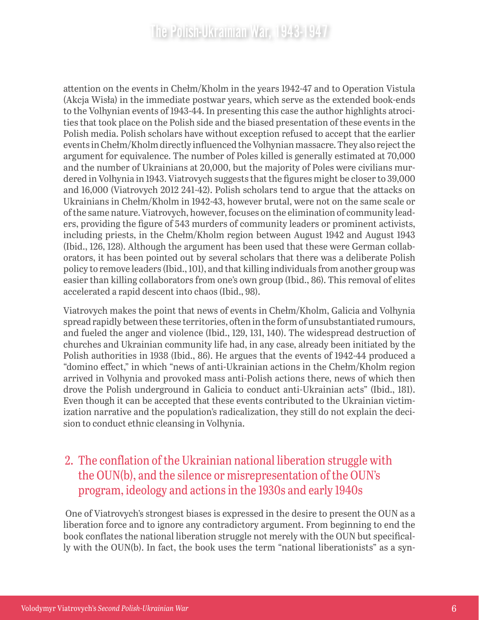attention on the events in Chełm/Kholm in the years 1942-47 and to Operation Vistula (Akcja Wisła) in the immediate postwar years, which serve as the extended book-ends to the Volhynian events of 1943-44. In presenting this case the author highlights atrocities that took place on the Polish side and the biased presentation of these events in the Polish media. Polish scholars have without exception refused to accept that the earlier events in Chełm/Kholm directly influenced the Volhynian massacre. They also reject the argument for equivalence. The number of Poles killed is generally estimated at 70,000 and the number of Ukrainians at 20,000, but the majority of Poles were civilians murdered in Volhynia in 1943. Viatrovych suggests that the figures might be closer to 39,000 and 16,000 (Viatrovych 2012 241-42). Polish scholars tend to argue that the attacks on Ukrainians in Chełm/Kholm in 1942-43, however brutal, were not on the same scale or of the same nature. Viatrovych, however, focuses on the elimination of community leaders, providing the figure of 543 murders of community leaders or prominent activists, including priests, in the Chełm/Kholm region between August 1942 and August 1943 (Ibid., 126, 128). Although the argument has been used that these were German collaborators, it has been pointed out by several scholars that there was a deliberate Polish policy to remove leaders (Ibid., 101), and that killing individuals from another group was easier than killing collaborators from one's own group (Ibid., 86). This removal of elites accelerated a rapid descent into chaos (Ibid., 98).

Viatrovych makes the point that news of events in Chełm/Kholm, Galicia and Volhynia spread rapidly between these territories, often in the form of unsubstantiated rumours, and fueled the anger and violence (Ibid., 129, 131, 140). The widespread destruction of churches and Ukrainian community life had, in any case, already been initiated by the Polish authorities in 1938 (Ibid., 86). He argues that the events of 1942-44 produced a "domino effect," in which "news of anti-Ukrainian actions in the Chełm/Kholm region arrived in Volhynia and provoked mass anti-Polish actions there, news of which then drove the Polish underground in Galicia to conduct anti-Ukrainian acts" (Ibid., 181). Even though it can be accepted that these events contributed to the Ukrainian victimization narrative and the population's radicalization, they still do not explain the decision to conduct ethnic cleansing in Volhynia.

#### 2. The conflation of the Ukrainian national liberation struggle with the OUN(b), and the silence or misrepresentation of the OUN's program, ideology and actions in the 1930s and early 1940s

 One of Viatrovych's strongest biases is expressed in the desire to present the OUN as a liberation force and to ignore any contradictory argument. From beginning to end the book conflates the national liberation struggle not merely with the OUN but specifically with the OUN(b). In fact, the book uses the term "national liberationists" as a syn-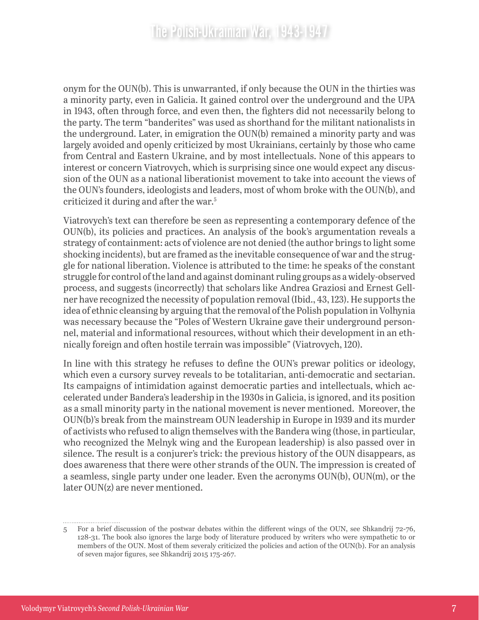onym for the OUN(b). This is unwarranted, if only because the OUN in the thirties was a minority party, even in Galicia. It gained control over the underground and the UPA in 1943, often through force, and even then, the fighters did not necessarily belong to the party. The term "banderites" was used as shorthand for the militant nationalists in the underground. Later, in emigration the OUN(b) remained a minority party and was largely avoided and openly criticized by most Ukrainians, certainly by those who came from Central and Eastern Ukraine, and by most intellectuals. None of this appears to interest or concern Viatrovych, which is surprising since one would expect any discussion of the OUN as a national liberationist movement to take into account the views of the OUN's founders, ideologists and leaders, most of whom broke with the OUN(b), and criticized it during and after the war.5

Viatrovych's text can therefore be seen as representing a contemporary defence of the OUN(b), its policies and practices. An analysis of the book's argumentation reveals a strategy of containment: acts of violence are not denied (the author brings to light some shocking incidents), but are framed as the inevitable consequence of war and the struggle for national liberation. Violence is attributed to the time: he speaks of the constant struggle for control of the land and against dominant ruling groups as a widely-observed process, and suggests (incorrectly) that scholars like Andrea Graziosi and Ernest Gellner have recognized the necessity of population removal (Ibid., 43, 123). He supports the idea of ethnic cleansing by arguing that the removal of the Polish population in Volhynia was necessary because the "Poles of Western Ukraine gave their underground personnel, material and informational resources, without which their development in an ethnically foreign and often hostile terrain was impossible" (Viatrovych, 120).

In line with this strategy he refuses to define the OUN's prewar politics or ideology, which even a cursory survey reveals to be totalitarian, anti-democratic and sectarian. Its campaigns of intimidation against democratic parties and intellectuals, which accelerated under Bandera's leadership in the 1930s in Galicia, is ignored, and its position as a small minority party in the national movement is never mentioned. Moreover, the OUN(b)'s break from the mainstream OUN leadership in Europe in 1939 and its murder of activists who refused to align themselves with the Bandera wing (those, in particular, who recognized the Melnyk wing and the European leadership) is also passed over in silence. The result is a conjurer's trick: the previous history of the OUN disappears, as does awareness that there were other strands of the OUN. The impression is created of a seamless, single party under one leader. Even the acronyms OUN(b), OUN(m), or the later OUN(z) are never mentioned.

<sup>5</sup> For a brief discussion of the postwar debates within the different wings of the OUN, see Shkandrij 72-76, 128-31. The book also ignores the large body of literature produced by writers who were sympathetic to or members of the OUN. Most of them severaly criticized the policies and action of the OUN(b). For an analysis of seven major figures, see Shkandrij 2015 175-267.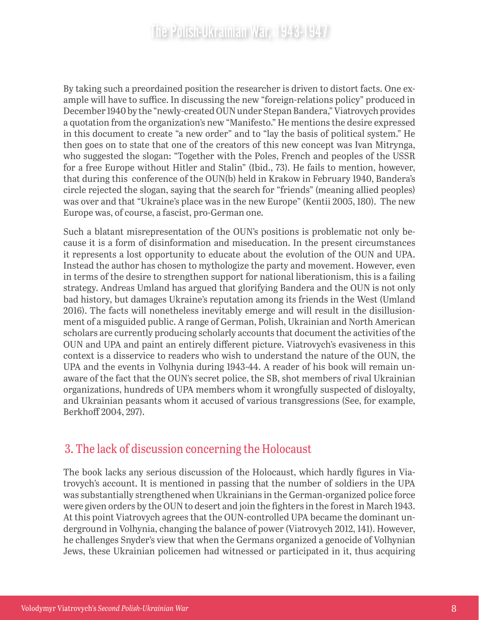By taking such a preordained position the researcher is driven to distort facts. One example will have to suffice. In discussing the new "foreign-relations policy" produced in December 1940 by the "newly-created OUN under Stepan Bandera," Viatrovych provides a quotation from the organization's new "Manifesto." He mentions the desire expressed in this document to create "a new order" and to "lay the basis of political system." He then goes on to state that one of the creators of this new concept was Ivan Mitrynga, who suggested the slogan: "Together with the Poles, French and peoples of the USSR for a free Europe without Hitler and Stalin" (Ibid., 73). He fails to mention, however, that during this conference of the OUN(b) held in Krakow in February 1940, Bandera's circle rejected the slogan, saying that the search for "friends" (meaning allied peoples) was over and that "Ukraine's place was in the new Europe" (Kentii 2005, 180). The new Europe was, of course, a fascist, pro-German one.

Such a blatant misrepresentation of the OUN's positions is problematic not only because it is a form of disinformation and miseducation. In the present circumstances it represents a lost opportunity to educate about the evolution of the OUN and UPA. Instead the author has chosen to mythologize the party and movement. However, even in terms of the desire to strengthen support for national liberationism, this is a failing strategy. Andreas Umland has argued that glorifying Bandera and the OUN is not only bad history, but damages Ukraine's reputation among its friends in the West (Umland 2016). The facts will nonetheless inevitably emerge and will result in the disillusionment of a misguided public. A range of German, Polish, Ukrainian and North American scholars are currently producing scholarly accounts that document the activities of the OUN and UPA and paint an entirely different picture. Viatrovych's evasiveness in this context is a disservice to readers who wish to understand the nature of the OUN, the UPA and the events in Volhynia during 1943-44. A reader of his book will remain unaware of the fact that the OUN's secret police, the SB, shot members of rival Ukrainian organizations, hundreds of UPA members whom it wrongfully suspected of disloyalty, and Ukrainian peasants whom it accused of various transgressions (See, for example, Berkhoff 2004, 297).

#### 3. The lack of discussion concerning the Holocaust

The book lacks any serious discussion of the Holocaust, which hardly figures in Viatrovych's account. It is mentioned in passing that the number of soldiers in the UPA was substantially strengthened when Ukrainians in the German-organized police force were given orders by the OUN to desert and join the fighters in the forest in March 1943. At this point Viatrovych agrees that the OUN-controlled UPA became the dominant underground in Volhynia, changing the balance of power (Viatrovych 2012, 141). However, he challenges Snyder's view that when the Germans organized a genocide of Volhynian Jews, these Ukrainian policemen had witnessed or participated in it, thus acquiring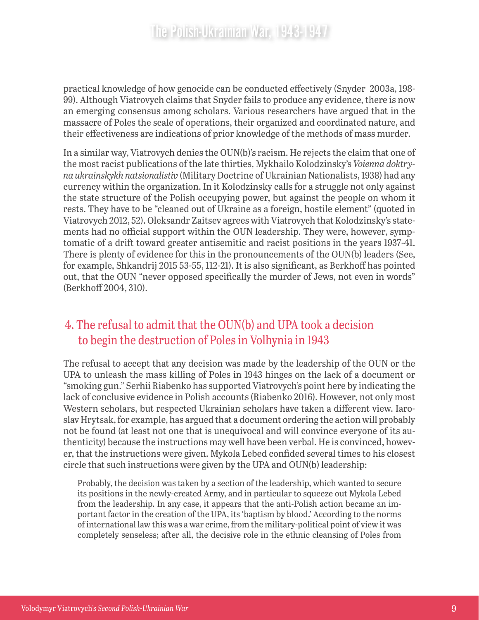practical knowledge of how genocide can be conducted effectively (Snyder 2003a, 198- 99). Although Viatrovych claims that Snyder fails to produce any evidence, there is now an emerging consensus among scholars. Various researchers have argued that in the massacre of Poles the scale of operations, their organized and coordinated nature, and their effectiveness are indications of prior knowledge of the methods of mass murder.

In a similar way, Viatrovych denies the OUN(b)'s racism. He rejects the claim that one of the most racist publications of the late thirties, Mykhailo Kolodzinsky's *Voienna doktryna ukrainskykh natsionalistiv* (Military Doctrine of Ukrainian Nationalists, 1938) had any currency within the organization. In it Kolodzinsky calls for a struggle not only against the state structure of the Polish occupying power, but against the people on whom it rests. They have to be "cleaned out of Ukraine as a foreign, hostile element" (quoted in Viatrovych 2012, 52). Oleksandr Zaitsev agrees with Viatrovych that Kolodzinsky's statements had no official support within the OUN leadership. They were, however, symptomatic of a drift toward greater antisemitic and racist positions in the years 1937-41. There is plenty of evidence for this in the pronouncements of the OUN(b) leaders (See, for example, Shkandrij 2015 53-55, 112-21). It is also significant, as Berkhoff has pointed out, that the OUN "never opposed specifically the murder of Jews, not even in words" (Berkhoff 2004, 310).

#### 4. The refusal to admit that the OUN(b) and UPA took a decision to begin the destruction of Poles in Volhynia in 1943

The refusal to accept that any decision was made by the leadership of the OUN or the UPA to unleash the mass killing of Poles in 1943 hinges on the lack of a document or "smoking gun." Serhii Riabenko has supported Viatrovych's point here by indicating the lack of conclusive evidence in Polish accounts (Riabenko 2016). However, not only most Western scholars, but respected Ukrainian scholars have taken a different view. Iaroslav Hrytsak, for example, has argued that a document ordering the action will probably not be found (at least not one that is unequivocal and will convince everyone of its authenticity) because the instructions may well have been verbal. He is convinced, however, that the instructions were given. Mykola Lebed confided several times to his closest circle that such instructions were given by the UPA and OUN(b) leadership:

Probably, the decision was taken by a section of the leadership, which wanted to secure its positions in the newly-created Army, and in particular to squeeze out Mykola Lebed from the leadership. In any case, it appears that the anti-Polish action became an important factor in the creation of the UPA, its 'baptism by blood.' According to the norms of international law this was a war crime, from the military-political point of view it was completely senseless; after all, the decisive role in the ethnic cleansing of Poles from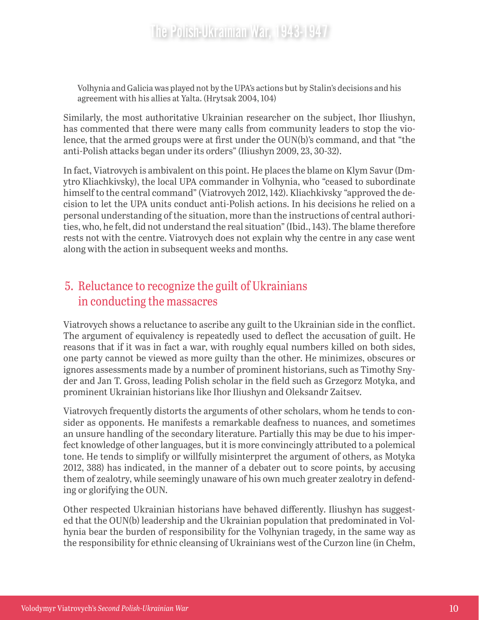Volhynia and Galicia was played not by the UPA's actions but by Stalin's decisions and his agreement with his allies at Yalta. (Hrytsak 2004, 104)

Similarly, the most authoritative Ukrainian researcher on the subject, Ihor Iliushyn, has commented that there were many calls from community leaders to stop the violence, that the armed groups were at first under the OUN(b)'s command, and that "the anti-Polish attacks began under its orders" (Iliushyn 2009, 23, 30-32).

In fact, Viatrovych is ambivalent on this point. He places the blame on Klym Savur (Dmytro Kliachkivsky), the local UPA commander in Volhynia, who "ceased to subordinate himself to the central command" (Viatrovych 2012, 142). Kliachkivsky "approved the decision to let the UPA units conduct anti-Polish actions. In his decisions he relied on a personal understanding of the situation, more than the instructions of central authorities, who, he felt, did not understand the real situation" (Ibid., 143). The blame therefore rests not with the centre. Viatrovych does not explain why the centre in any case went along with the action in subsequent weeks and months.

#### 5. Reluctance to recognize the guilt of Ukrainians in conducting the massacres

Viatrovych shows a reluctance to ascribe any guilt to the Ukrainian side in the conflict. The argument of equivalency is repeatedly used to deflect the accusation of guilt. He reasons that if it was in fact a war, with roughly equal numbers killed on both sides, one party cannot be viewed as more guilty than the other. He minimizes, obscures or ignores assessments made by a number of prominent historians, such as Timothy Snyder and Jan T. Gross, leading Polish scholar in the field such as Grzegorz Motyka, and prominent Ukrainian historians like Ihor Iliushyn and Oleksandr Zaitsev.

Viatrovych frequently distorts the arguments of other scholars, whom he tends to consider as opponents. He manifests a remarkable deafness to nuances, and sometimes an unsure handling of the secondary literature. Partially this may be due to his imperfect knowledge of other languages, but it is more convincingly attributed to a polemical tone. He tends to simplify or willfully misinterpret the argument of others, as Motyka 2012, 388) has indicated, in the manner of a debater out to score points, by accusing them of zealotry, while seemingly unaware of his own much greater zealotry in defending or glorifying the OUN.

Other respected Ukrainian historians have behaved differently. Iliushyn has suggested that the OUN(b) leadership and the Ukrainian population that predominated in Volhynia bear the burden of responsibility for the Volhynian tragedy, in the same way as the responsibility for ethnic cleansing of Ukrainians west of the Curzon line (in Chełm,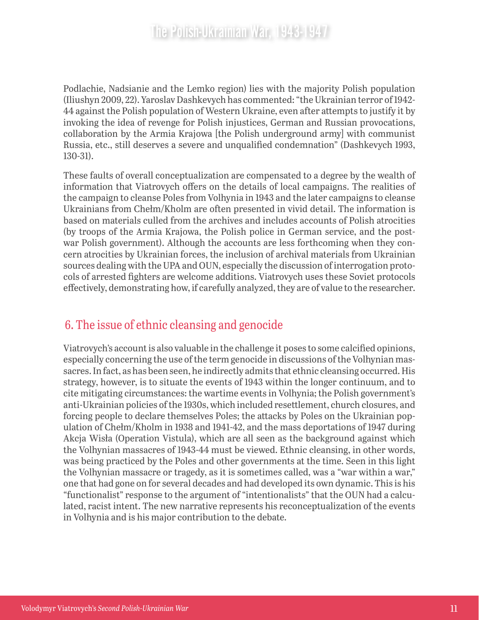Podlachie, Nadsianie and the Lemko region) lies with the majority Polish population (Iliushyn 2009, 22). Yaroslav Dashkevych has commented: "the Ukrainian terror of 1942- 44 against the Polish population of Western Ukraine, even after attempts to justify it by invoking the idea of revenge for Polish injustices, German and Russian provocations, collaboration by the Armia Krajowa [the Polish underground army] with communist Russia, etc., still deserves a severe and unqualified condemnation" (Dashkevych 1993, 130-31).

These faults of overall conceptualization are compensated to a degree by the wealth of information that Viatrovych offers on the details of local campaigns. The realities of the campaign to cleanse Poles from Volhynia in 1943 and the later campaigns to cleanse Ukrainians from Chełm/Kholm are often presented in vivid detail. The information is based on materials culled from the archives and includes accounts of Polish atrocities (by troops of the Armia Krajowa, the Polish police in German service, and the postwar Polish government). Although the accounts are less forthcoming when they concern atrocities by Ukrainian forces, the inclusion of archival materials from Ukrainian sources dealing with the UPA and OUN, especially the discussion of interrogation protocols of arrested fighters are welcome additions. Viatrovych uses these Soviet protocols effectively, demonstrating how, if carefully analyzed, they are of value to the researcher.

#### 6. The issue of ethnic cleansing and genocide

Viatrovych's account is also valuable in the challenge it poses to some calcified opinions, especially concerning the use of the term genocide in discussions of the Volhynian massacres. In fact, as has been seen, he indirectly admits that ethnic cleansing occurred. His strategy, however, is to situate the events of 1943 within the longer continuum, and to cite mitigating circumstances: the wartime events in Volhynia; the Polish government's anti-Ukrainian policies of the 1930s, which included resettlement, church closures, and forcing people to declare themselves Poles; the attacks by Poles on the Ukrainian population of Chełm/Kholm in 1938 and 1941-42, and the mass deportations of 1947 during Akcja Wisła (Operation Vistula), which are all seen as the background against which the Volhynian massacres of 1943-44 must be viewed. Ethnic cleansing, in other words, was being practiced by the Poles and other governments at the time. Seen in this light the Volhynian massacre or tragedy, as it is sometimes called, was a "war within a war," one that had gone on for several decades and had developed its own dynamic. This is his "functionalist" response to the argument of "intentionalists" that the OUN had a calculated, racist intent. The new narrative represents his reconceptualization of the events in Volhynia and is his major contribution to the debate.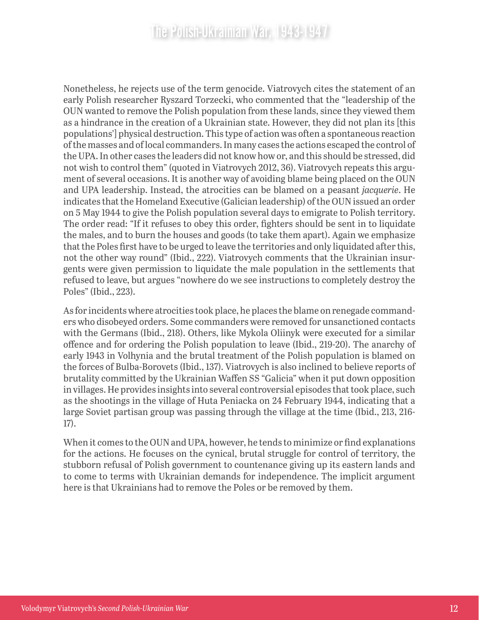Nonetheless, he rejects use of the term genocide. Viatrovych cites the statement of an early Polish researcher Ryszard Torzecki, who commented that the "leadership of the OUN wanted to remove the Polish population from these lands, since they viewed them as a hindrance in the creation of a Ukrainian state. However, they did not plan its [this populations'] physical destruction. This type of action was often a spontaneous reaction of the masses and of local commanders. In many cases the actions escaped the control of the UPA. In other cases the leaders did not know how or, and this should be stressed, did not wish to control them" (quoted in Viatrovych 2012, 36). Viatrovych repeats this argument of several occasions. It is another way of avoiding blame being placed on the OUN and UPA leadership. Instead, the atrocities can be blamed on a peasant *jacquerie*. He indicates that the Homeland Executive (Galician leadership) of the OUN issued an order on 5 May 1944 to give the Polish population several days to emigrate to Polish territory. The order read: "If it refuses to obey this order, fighters should be sent in to liquidate the males, and to burn the houses and goods (to take them apart). Again we emphasize that the Poles first have to be urged to leave the territories and only liquidated after this, not the other way round" (Ibid., 222). Viatrovych comments that the Ukrainian insurgents were given permission to liquidate the male population in the settlements that refused to leave, but argues "nowhere do we see instructions to completely destroy the Poles" (Ibid., 223).

As for incidents where atrocities took place, he places the blame on renegade commanders who disobeyed orders. Some commanders were removed for unsanctioned contacts with the Germans (Ibid., 218). Others, like Mykola Oliinyk were executed for a similar offence and for ordering the Polish population to leave (Ibid., 219-20). The anarchy of early 1943 in Volhynia and the brutal treatment of the Polish population is blamed on the forces of Bulba-Borovets (Ibid., 137). Viatrovych is also inclined to believe reports of brutality committed by the Ukrainian Waffen SS "Galicia" when it put down opposition in villages. He provides insights into several controversial episodes that took place, such as the shootings in the village of Huta Peniacka on 24 February 1944, indicating that a large Soviet partisan group was passing through the village at the time (Ibid., 213, 216- 17).

When it comes to the OUN and UPA, however, he tends to minimize or find explanations for the actions. He focuses on the cynical, brutal struggle for control of territory, the stubborn refusal of Polish government to countenance giving up its eastern lands and to come to terms with Ukrainian demands for independence. The implicit argument here is that Ukrainians had to remove the Poles or be removed by them.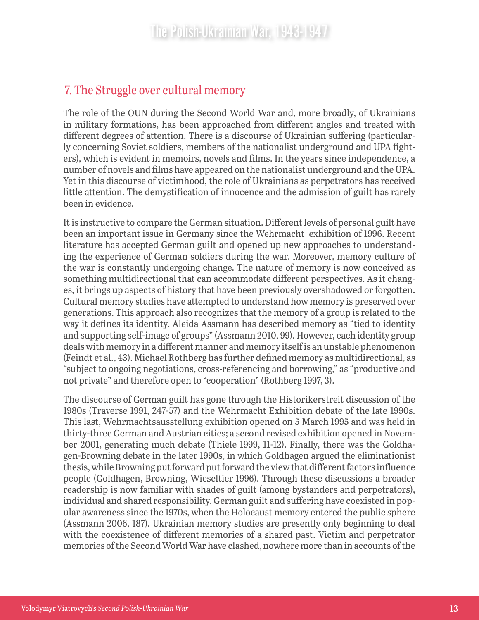#### 7. The Struggle over cultural memory

The role of the OUN during the Second World War and, more broadly, of Ukrainians in military formations, has been approached from different angles and treated with different degrees of attention. There is a discourse of Ukrainian suffering (particularly concerning Soviet soldiers, members of the nationalist underground and UPA fighters), which is evident in memoirs, novels and films. In the years since independence, a number of novels and films have appeared on the nationalist underground and the UPA. Yet in this discourse of victimhood, the role of Ukrainians as perpetrators has received little attention. The demystification of innocence and the admission of guilt has rarely been in evidence.

It is instructive to compare the German situation. Different levels of personal guilt have been an important issue in Germany since the Wehrmacht exhibition of 1996. Recent literature has accepted German guilt and opened up new approaches to understanding the experience of German soldiers during the war. Moreover, memory culture of the war is constantly undergoing change. The nature of memory is now conceived as something multidirectional that can accommodate different perspectives. As it changes, it brings up aspects of history that have been previously overshadowed or forgotten. Cultural memory studies have attempted to understand how memory is preserved over generations. This approach also recognizes that the memory of a group is related to the way it defines its identity. Aleida Assmann has described memory as "tied to identity and supporting self-image of groups" (Assmann 2010, 99). However, each identity group deals with memory in a different manner and memory itself is an unstable phenomenon (Feindt et al., 43). Michael Rothberg has further defined memory as multidirectional, as "subject to ongoing negotiations, cross-referencing and borrowing," as "productive and not private" and therefore open to "cooperation" (Rothberg 1997, 3).

The discourse of German guilt has gone through the Historikerstreit discussion of the 1980s (Traverse 1991, 247-57) and the Wehrmacht Exhibition debate of the late 1990s. This last, Wehrmachtsausstellung exhibition opened on 5 March 1995 and was held in thirty-three German and Austrian cities; a second revised exhibition opened in November 2001, generating much debate (Thiele 1999, 11-12). Finally, there was the Goldhagen-Browning debate in the later 1990s, in which Goldhagen argued the eliminationist thesis, while Browning put forward put forward the view that different factors influence people (Goldhagen, Browning, Wieseltier 1996). Through these discussions a broader readership is now familiar with shades of guilt (among bystanders and perpetrators), individual and shared responsibility. German guilt and suffering have coexisted in popular awareness since the 1970s, when the Holocaust memory entered the public sphere (Assmann 2006, 187). Ukrainian memory studies are presently only beginning to deal with the coexistence of different memories of a shared past. Victim and perpetrator memories of the Second World War have clashed, nowhere more than in accounts of the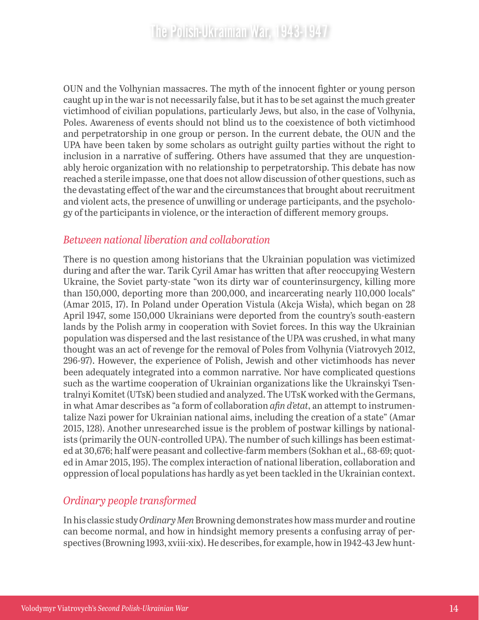OUN and the Volhynian massacres. The myth of the innocent fighter or young person caught up in the war is not necessarily false, but it has to be set against the much greater victimhood of civilian populations, particularly Jews, but also, in the case of Volhynia, Poles. Awareness of events should not blind us to the coexistence of both victimhood and perpetratorship in one group or person. In the current debate, the OUN and the UPA have been taken by some scholars as outright guilty parties without the right to inclusion in a narrative of suffering. Others have assumed that they are unquestionably heroic organization with no relationship to perpetratorship. This debate has now reached a sterile impasse, one that does not allow discussion of other questions, such as the devastating effect of the war and the circumstances that brought about recruitment and violent acts, the presence of unwilling or underage participants, and the psychology of the participants in violence, or the interaction of different memory groups.

#### *Between national liberation and collaboration*

There is no question among historians that the Ukrainian population was victimized during and after the war. Tarik Cyril Amar has written that after reoccupying Western Ukraine, the Soviet party-state "won its dirty war of counterinsurgency, killing more than 150,000, deporting more than 200,000, and incarcerating nearly 110,000 locals" (Amar 2015, 17). In Poland under Operation Vistula (Akcja Wisła), which began on 28 April 1947, some 150,000 Ukrainians were deported from the country's south-eastern lands by the Polish army in cooperation with Soviet forces. In this way the Ukrainian population was dispersed and the last resistance of the UPA was crushed, in what many thought was an act of revenge for the removal of Poles from Volhynia (Viatrovych 2012, 296-97). However, the experience of Polish, Jewish and other victimhoods has never been adequately integrated into a common narrative. Nor have complicated questions such as the wartime cooperation of Ukrainian organizations like the Ukrainskyi Tsentralnyi Komitet (UTsK) been studied and analyzed. The UTsK worked with the Germans, in what Amar describes as "a form of collaboration *afin d'etat*, an attempt to instrumentalize Nazi power for Ukrainian national aims, including the creation of a state" (Amar 2015, 128). Another unresearched issue is the problem of postwar killings by nationalists (primarily the OUN-controlled UPA). The number of such killings has been estimated at 30,676; half were peasant and collective-farm members (Sokhan et al., 68-69; quoted in Amar 2015, 195). The complex interaction of national liberation, collaboration and oppression of local populations has hardly as yet been tackled in the Ukrainian context.

#### *Ordinary people transformed*

In his classic study *Ordinary Men* Browning demonstrates how mass murder and routine can become normal, and how in hindsight memory presents a confusing array of perspectives (Browning 1993, xviii-xix). He describes, for example, how in 1942-43 Jew hunt-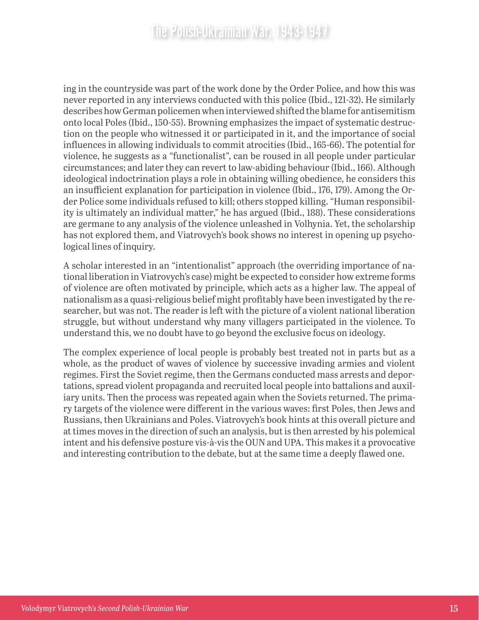ing in the countryside was part of the work done by the Order Police, and how this was never reported in any interviews conducted with this police (Ibid., 121-32). He similarly describes how German policemen when interviewed shifted the blame for antisemitism onto local Poles (Ibid., 150-55). Browning emphasizes the impact of systematic destruction on the people who witnessed it or participated in it, and the importance of social influences in allowing individuals to commit atrocities (Ibid., 165-66). The potential for violence, he suggests as a "functionalist", can be roused in all people under particular circumstances; and later they can revert to law-abiding behaviour (Ibid., 166). Although ideological indoctrination plays a role in obtaining willing obedience, he considers this an insufficient explanation for participation in violence (Ibid., 176, 179). Among the Order Police some individuals refused to kill; others stopped killing. "Human responsibility is ultimately an individual matter," he has argued (Ibid., 188). These considerations are germane to any analysis of the violence unleashed in Volhynia. Yet, the scholarship has not explored them, and Viatrovych's book shows no interest in opening up psychological lines of inquiry.

A scholar interested in an "intentionalist" approach (the overriding importance of national liberation in Viatrovych's case) might be expected to consider how extreme forms of violence are often motivated by principle, which acts as a higher law. The appeal of nationalism as a quasi-religious belief might profitably have been investigated by the researcher, but was not. The reader is left with the picture of a violent national liberation struggle, but without understand why many villagers participated in the violence. To understand this, we no doubt have to go beyond the exclusive focus on ideology.

The complex experience of local people is probably best treated not in parts but as a whole, as the product of waves of violence by successive invading armies and violent regimes. First the Soviet regime, then the Germans conducted mass arrests and deportations, spread violent propaganda and recruited local people into battalions and auxiliary units. Then the process was repeated again when the Soviets returned. The primary targets of the violence were different in the various waves: first Poles, then Jews and Russians, then Ukrainians and Poles. Viatrovych's book hints at this overall picture and at times moves in the direction of such an analysis, but is then arrested by his polemical intent and his defensive posture vis-à-vis the OUN and UPA. This makes it a provocative and interesting contribution to the debate, but at the same time a deeply flawed one.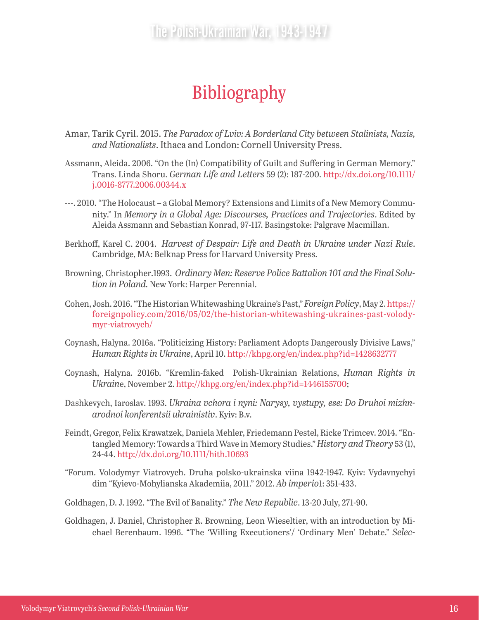## Bibliography

- Amar, Tarik Cyril. 2015. *The Paradox of Lviv: A Borderland City between Stalinists, Nazis, and Nationalists*. Ithaca and London: Cornell University Press.
- Assmann, Aleida. 2006. "On the (In) Compatibility of Guilt and Suffering in German Memory." Trans. Linda Shoru. *German Life and Letters* 59 (2): 187-200. [http://dx.doi.org/10.1111/](http://dx.doi.org/10.1111/j.0016-8777.2006.00344.x) [j.0016-8777.2006.00344.x](http://dx.doi.org/10.1111/j.0016-8777.2006.00344.x)
- ---. 2010. "The Holocaust a Global Memory? Extensions and Limits of a New Memory Community." In *Memory in a Global Age: Discourses, Practices and Trajectories*. Edited by Aleida Assmann and Sebastian Konrad, 97-117. Basingstoke: Palgrave Macmillan.
- Berkhoff, Karel C. 2004. *Harvest of Despair: Life and Death in Ukraine under Nazi Rule*. Cambridge, MA: Belknap Press for Harvard University Press.
- Browning, Christopher.1993. *Ordinary Men: Reserve Police Battalion 101 and the Final Solution in Poland.* New York: Harper Perennial.
- Cohen, Josh. 2016. "The Historian Whitewashing Ukraine's Past," *Foreign Policy*, May 2. [https://](https://foreignpolicy.com/2016/05/02/the-historian-whitewashing-ukraines-past-volodymyr-viatrovych/) [foreignpolicy.com/2016/05/02/the-historian-whitewashing-ukraines-past-volody](https://foreignpolicy.com/2016/05/02/the-historian-whitewashing-ukraines-past-volodymyr-viatrovych/)[myr-viatrovych/](https://foreignpolicy.com/2016/05/02/the-historian-whitewashing-ukraines-past-volodymyr-viatrovych/)
- Coynash, Halyna. 2016a. "Politicizing History: Parliament Adopts Dangerously Divisive Laws," *Human Rights in Ukraine*, April 10. <http://khpg.org/en/index.php?id=1428632777>
- Coynash, Halyna. 2016b. "Kremlin-faked Polish-Ukrainian Relations, *Human Rights in Ukrain*e, November 2.<http://khpg.org/en/index.php?id=1446155700>;
- Dashkevych, Iaroslav. 1993. *Ukraina vchora i nyni: Narysy, vystupy, ese: Do Druhoi mizhnarodnoi konferentsii ukrainistiv*. Kyiv: B.v.
- Feindt, Gregor, Felix Krawatzek, Daniela Mehler, Friedemann Pestel, Ricke Trimcev. 2014. "Entangled Memory: Towards a Third Wave in Memory Studies." *History and Theory* 53 (1), 24-44. <http://dx.doi.org/10.1111/hith.10693>
- "Forum. Volodymyr Viatrovych. Druha polsko-ukrainska viina 1942-1947. Kyiv: Vydavnychyi dim "Kyievo-Mohylianska Akademiia, 2011." 2012. *Ab imperio*1: 351-433.
- Goldhagen, D. J. 1992. "The Evil of Banality." *The New Republic*. 13-20 July, 271-90.
- Goldhagen, J. Daniel, Christopher R. Browning, Leon Wieseltier, with an introduction by Michael Berenbaum. 1996. "The 'Willing Executioners'/ 'Ordinary Men' Debate." *Selec-*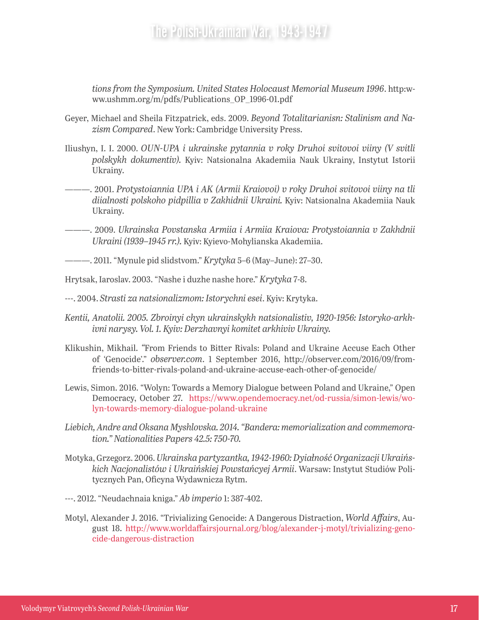*tions from the Symposium. United States Holocaust Memorial Museum 1996*. http:www.ushmm.org/m/pdfs/Publications\_OP\_1996-01.pdf

- Geyer, Michael and Sheila Fitzpatrick, eds. 2009. *Beyond Totalitarianisn: Stalinism and Nazism Compared*. New York: Cambridge University Press.
- Iliushyn, I. I. 2000. *OUN-UPA i ukrainske pytannia v roky Druhoi svitovoi viiny (V svitli polskykh dokumentiv).* Kyiv: Natsionalna Akademiia Nauk Ukrainy, Instytut Istorii Ukrainy.
- ———. 2001. *Protystoiannia UPA i AK (Armii Kraiovoi) v roky Druhoi svitovoi viiny na tli diialnosti polskoho pidpillia v Zakhidnii Ukraini.* Kyiv: Natsionalna Akademiia Nauk Ukrainy.
- ———. 2009. *Ukrainska Povstanska Armiia i Armiia Kraiova: Protystoiannia v Zakhdnii Ukraini (1939–1945 rr.).* Kyiv: Kyievo-Mohylianska Akademiia.
- ———. 2011. "Mynule pid slidstvom." *Krytyka* 5–6 (May–June): 27–30.

Hrytsak, Iaroslav. 2003. "Nashe i duzhe nashe hore." *Krytyka* 7-8.

- ---. 2004. *Strasti za natsionalizmom: Istorychni esei*. Kyiv: Krytyka.
- *Kentii, Anatolii. 2005. Zbroinyi chyn ukrainskykh natsionalistiv, 1920-1956: Istoryko-arkhivni narysy. Vol. 1. Kyiv: Derzhavnyi komitet arkhiviv Ukrainy.*
- Klikushin, Mikhail. *"*From Friends to Bitter Rivals: Poland and Ukraine Accuse Each Other of 'Genocide'." *observer.com*. 1 September 2016, http://observer.com/2016/09/fromfriends-to-bitter-rivals-poland-and-ukraine-accuse-each-other-of-genocide/
- Lewis, Simon. 2016. "Wolyn: Towards a Memory Dialogue between Poland and Ukraine," Open Democracy, October 27. [https://www.opendemocracy.net/od-russia/simon-lewis/wo](https://www.opendemocracy.net/od-russia/simon-lewis/wolyn-towards-memory-dialogue-poland-ukraine)[lyn-towards-memory-dialogue-poland-ukraine](https://www.opendemocracy.net/od-russia/simon-lewis/wolyn-towards-memory-dialogue-poland-ukraine)
- *Liebich, Andre and Oksana Myshlovska. 2014. "Bandera: memorialization and commemoration." Nationalities Papers 42.5: 750-70.*
- Motyka, Grzegorz. 2006. *Ukrainska partyzantka, 1942-1960: Dyiałność Organizacji Ukraińskich Nacjonalistów i Ukraińskiej Powstańcyej Armii*. Warsaw: Instytut Studiów Politycznych Pan, Oficyna Wydawnicza Rytm.
- ---. 2012. "Neudachnaia kniga." *Ab imperio* 1: 387-402.
- Motyl, Alexander J. 2016. "Trivializing Genocide: A Dangerous Distraction, *World Affairs*, August 18. [http://www.worldaffairsjournal.org/blog/alexander-j-motyl/trivializing-geno](http://www.worldaffairsjournal.org/blog/alexander-j-motyl/trivializing-genocide-dangerous-distraction)[cide-dangerous-distraction](http://www.worldaffairsjournal.org/blog/alexander-j-motyl/trivializing-genocide-dangerous-distraction)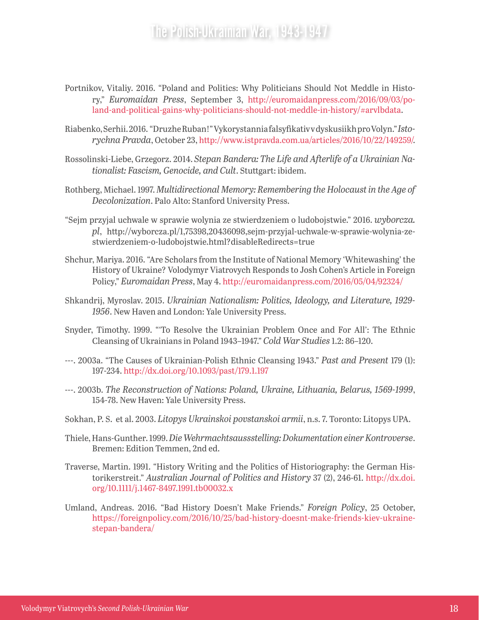- Portnikov, Vitaliy. 2016. "Poland and Politics: Why Politicians Should Not Meddle in History," *Euromaidan Press*, September 3, http://euromaidanpress.com/2016/09/03/poland-and-political-gains-why-politicians-should-not-meddle-in-history/#arvlbdata.
- Riabenko, Serhii. 2016. "Druzhe Ruban!" Vykorystannia falsyfikativ v dyskusiikh pro Volyn." *Istorychna Pravda*, October 23, <http://www.istpravda.com.ua/articles/2016/10/22/149259/>.
- Rossolinski-Liebe, Grzegorz. 2014. *Stepan Bandera: The Life and Afterlife of a Ukrainian Nationalist: Fascism, Genocide, and Cult*. Stuttgart: ibidem.
- Rothberg, Michael. 1997. *Multidirectional Memory: Remembering the Holocaust in the Age of Decolonization*. Palo Alto: Stanford University Press.
- "Sejm przyjal uchwale w sprawie wolynia ze stwierdzeniem o ludobojstwie." 2016. *wyborcza. pl*, http://wyborcza.pl/1,75398,20436098,sejm-przyjal-uchwale-w-sprawie-wolynia-zestwierdzeniem-o-ludobojstwie.html?disableRedirects=true
- Shchur, Mariya. 2016. "Are Scholars from the Institute of National Memory 'Whitewashing' the History of Ukraine? Volodymyr Viatrovych Responds to Josh Cohen's Article in Foreign Policy," *Euromaidan Press*, May 4. <http://euromaidanpress.com/2016/05/04/92324/>
- Shkandrij, Myroslav. 2015. *Ukrainian Nationalism: Politics, Ideology, and Literature, 1929- 1956*. New Haven and London: Yale University Press.
- Snyder, Timothy. 1999. "'To Resolve the Ukrainian Problem Once and For All': The Ethnic Cleansing of Ukrainians in Poland 1943–1947." *Cold War Studies* 1.2: 86–120.
- ---. 2003a. "The Causes of Ukrainian-Polish Ethnic Cleansing 1943." *Past and Present* 179 (1): 197-234.<http://dx.doi.org/10.1093/past/179.1.197>
- ---. 2003b. *The Reconstruction of Nations: Poland, Ukraine, Lithuania, Belarus, 1569-1999*, 154-78. New Haven: Yale University Press.
- Sokhan, P. S. et al. 2003. *Litopys Ukrainskoi povstanskoi armii*, n.s. 7. Toronto: Litopys UPA.
- Thiele, Hans-Gunther. 1999. *Die Wehrmachtsaussstelling: Dokumentation einer Kontroverse*. Bremen: Edition Temmen, 2nd ed.
- Traverse, Martin. 1991. "History Writing and the Politics of Historiography: the German Historikerstreit." *Australian Journal of Politics and History* 37 (2), 246-61. [http://dx.doi.](http://dx.doi.org/10.1111/j.1467-8497.1991.tb00032.x) [org/10.1111/j.1467-8497.1991.tb00032.x](http://dx.doi.org/10.1111/j.1467-8497.1991.tb00032.x)
- Umland, Andreas. 2016. "Bad History Doesn't Make Friends." *Foreign Policy*, 25 October, [https://foreignpolicy.com/2016/10/25/bad-history-doesnt-make-friends-kiev-ukraine](https://foreignpolicy.com/2016/10/25/bad-history-doesnt-make-friends-kiev-ukraine-stepan-bandera/)[stepan-bandera/](https://foreignpolicy.com/2016/10/25/bad-history-doesnt-make-friends-kiev-ukraine-stepan-bandera/)